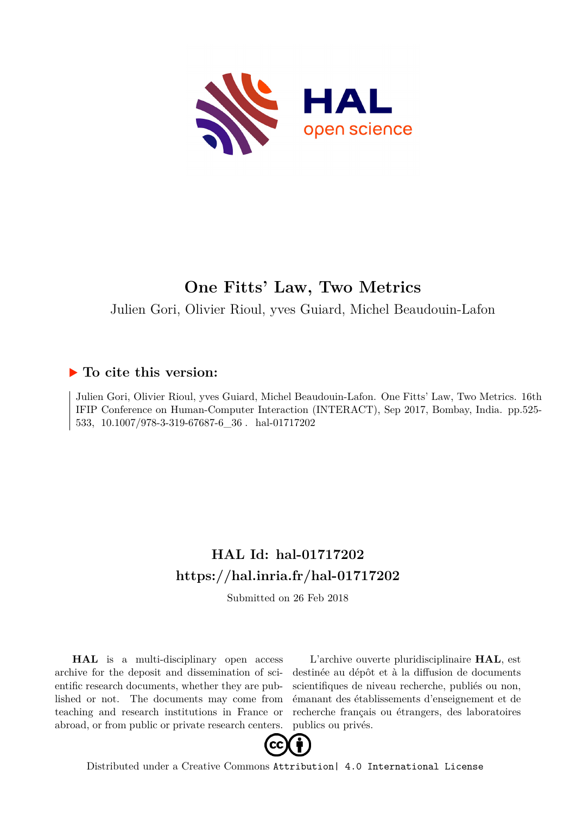

# **One Fitts' Law, Two Metrics**

Julien Gori, Olivier Rioul, yves Guiard, Michel Beaudouin-Lafon

# **To cite this version:**

Julien Gori, Olivier Rioul, yves Guiard, Michel Beaudouin-Lafon. One Fitts' Law, Two Metrics. 16th IFIP Conference on Human-Computer Interaction (INTERACT), Sep 2017, Bombay, India. pp.525- 533, 10.1007/978-3-319-67687-6 36 hal-01717202

# **HAL Id: hal-01717202 <https://hal.inria.fr/hal-01717202>**

Submitted on 26 Feb 2018

**HAL** is a multi-disciplinary open access archive for the deposit and dissemination of scientific research documents, whether they are published or not. The documents may come from teaching and research institutions in France or abroad, or from public or private research centers.

L'archive ouverte pluridisciplinaire **HAL**, est destinée au dépôt et à la diffusion de documents scientifiques de niveau recherche, publiés ou non, émanant des établissements d'enseignement et de recherche français ou étrangers, des laboratoires publics ou privés.



Distributed under a Creative Commons [Attribution| 4.0 International License](http://creativecommons.org/licenses/by/4.0/)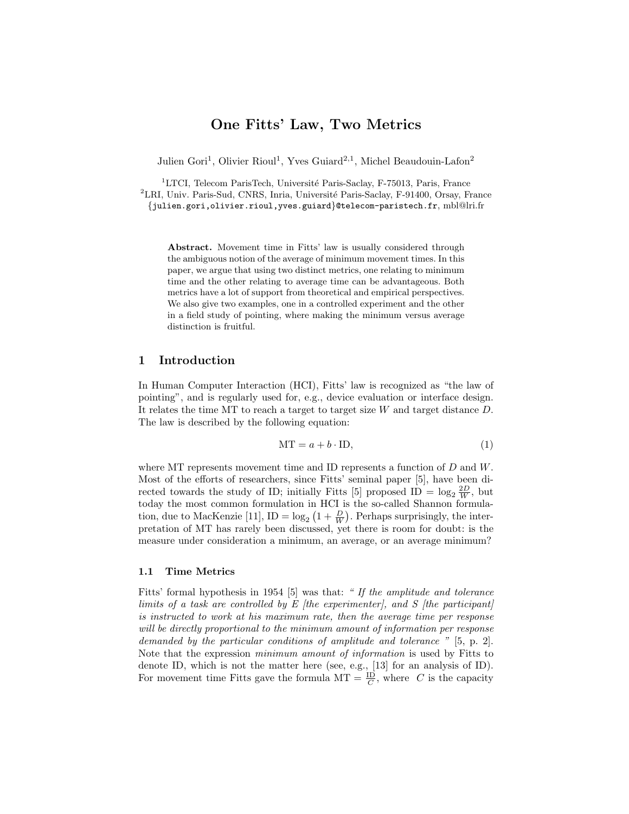# One Fitts' Law, Two Metrics

Julien Gori<sup>1</sup>, Olivier Rioul<sup>1</sup>, Yves Guiard<sup>2,1</sup>, Michel Beaudouin-Lafon<sup>2</sup>

<sup>1</sup>LTCI, Telecom ParisTech, Université Paris-Saclay, F-75013, Paris, France  $^{2}$ LRI, Univ. Paris-Sud, CNRS, Inria, Université Paris-Saclay, F-91400, Orsay, France {julien.gori,olivier.rioul,yves.guiard}@telecom-paristech.fr, mbl@lri.fr

Abstract. Movement time in Fitts' law is usually considered through the ambiguous notion of the average of minimum movement times. In this paper, we argue that using two distinct metrics, one relating to minimum time and the other relating to average time can be advantageous. Both metrics have a lot of support from theoretical and empirical perspectives. We also give two examples, one in a controlled experiment and the other in a field study of pointing, where making the minimum versus average distinction is fruitful.

## 1 Introduction

In Human Computer Interaction (HCI), Fitts' law is recognized as "the law of pointing", and is regularly used for, e.g., device evaluation or interface design. It relates the time MT to reach a target to target size  $W$  and target distance  $D$ . The law is described by the following equation:

$$
MT = a + b \cdot ID,
$$
 (1)

where MT represents movement time and ID represents a function of  $D$  and  $W$ . Most of the efforts of researchers, since Fitts' seminal paper [5], have been directed towards the study of ID; initially Fitts [5] proposed  $ID = log_2 \frac{2D}{W}$ , but today the most common formulation in HCI is the so-called Shannon formulation, due to MacKenzie [11],  $ID = \log_2(1 + \frac{D}{W})$ . Perhaps surprisingly, the interpretation of MT has rarely been discussed, yet there is room for doubt: is the measure under consideration a minimum, an average, or an average minimum?

#### 1.1 Time Metrics

Fitts' formal hypothesis in 1954 [5] was that: " If the amplitude and tolerance limits of a task are controlled by  $E$  [the experimenter], and  $S$  [the participant] is instructed to work at his maximum rate, then the average time per response will be directly proportional to the minimum amount of information per response demanded by the particular conditions of amplitude and tolerance " [5, p. 2]. Note that the expression minimum amount of information is used by Fitts to denote ID, which is not the matter here (see, e.g., [13] for an analysis of ID). For movement time Fitts gave the formula  $MT = \frac{ID}{C}$ , where C is the capacity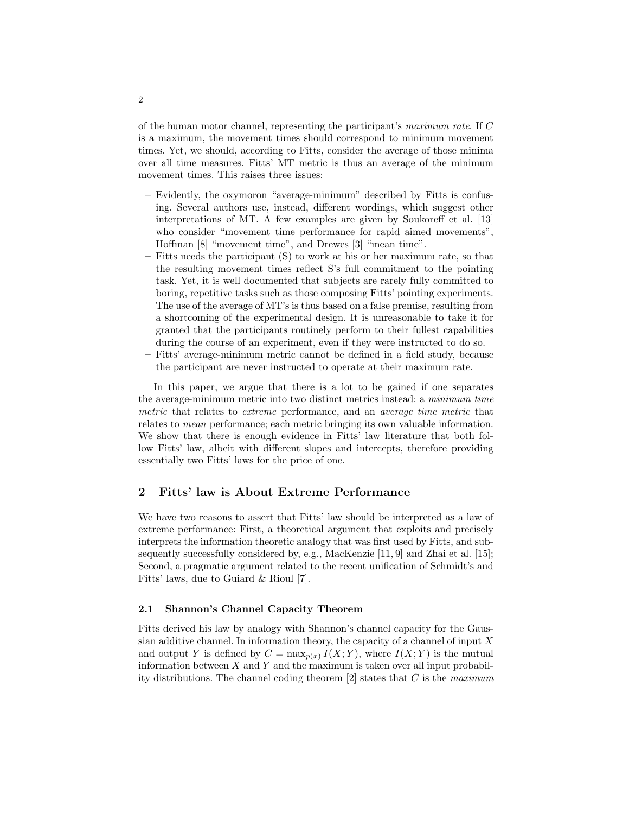of the human motor channel, representing the participant's maximum rate. If C is a maximum, the movement times should correspond to minimum movement times. Yet, we should, according to Fitts, consider the average of those minima over all time measures. Fitts' MT metric is thus an average of the minimum movement times. This raises three issues:

- Evidently, the oxymoron "average-minimum" described by Fitts is confusing. Several authors use, instead, different wordings, which suggest other interpretations of MT. A few examples are given by Soukoreff et al. [13] who consider "movement time performance for rapid aimed movements", Hoffman [8] "movement time", and Drewes [3] "mean time".
- Fitts needs the participant (S) to work at his or her maximum rate, so that the resulting movement times reflect S's full commitment to the pointing task. Yet, it is well documented that subjects are rarely fully committed to boring, repetitive tasks such as those composing Fitts' pointing experiments. The use of the average of MT's is thus based on a false premise, resulting from a shortcoming of the experimental design. It is unreasonable to take it for granted that the participants routinely perform to their fullest capabilities during the course of an experiment, even if they were instructed to do so.
- Fitts' average-minimum metric cannot be defined in a field study, because the participant are never instructed to operate at their maximum rate.

In this paper, we argue that there is a lot to be gained if one separates the average-minimum metric into two distinct metrics instead: a minimum time metric that relates to extreme performance, and an average time metric that relates to mean performance; each metric bringing its own valuable information. We show that there is enough evidence in Fitts' law literature that both follow Fitts' law, albeit with different slopes and intercepts, therefore providing essentially two Fitts' laws for the price of one.

## 2 Fitts' law is About Extreme Performance

We have two reasons to assert that Fitts' law should be interpreted as a law of extreme performance: First, a theoretical argument that exploits and precisely interprets the information theoretic analogy that was first used by Fitts, and subsequently successfully considered by, e.g., MacKenzie [11, 9] and Zhai et al. [15]; Second, a pragmatic argument related to the recent unification of Schmidt's and Fitts' laws, due to Guiard & Rioul [7].

#### 2.1 Shannon's Channel Capacity Theorem

Fitts derived his law by analogy with Shannon's channel capacity for the Gaussian additive channel. In information theory, the capacity of a channel of input X and output Y is defined by  $C = \max_{p(x)} I(X;Y)$ , where  $I(X;Y)$  is the mutual information between  $X$  and  $Y$  and the maximum is taken over all input probability distributions. The channel coding theorem  $[2]$  states that C is the maximum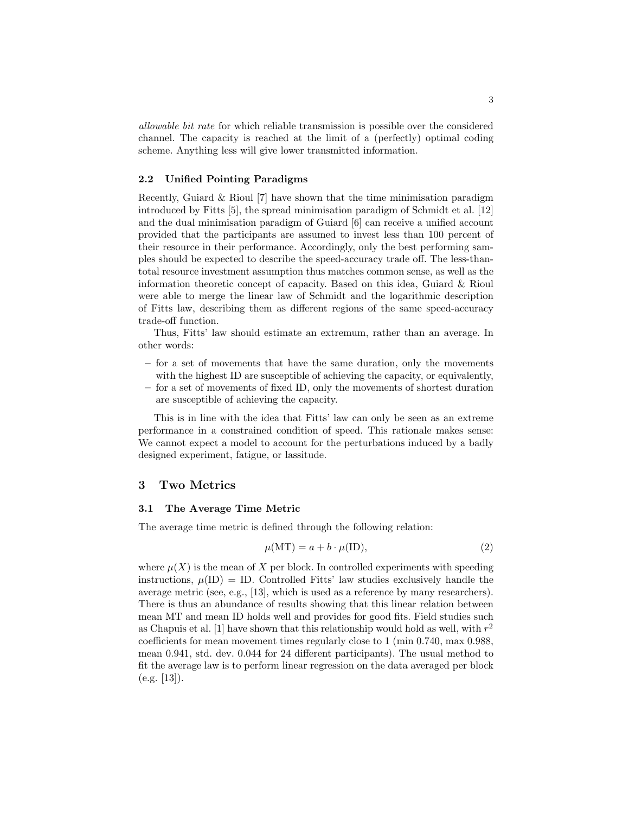allowable bit rate for which reliable transmission is possible over the considered channel. The capacity is reached at the limit of a (perfectly) optimal coding scheme. Anything less will give lower transmitted information.

#### 2.2 Unified Pointing Paradigms

Recently, Guiard  $\&$  Rioul [7] have shown that the time minimisation paradigm introduced by Fitts [5], the spread minimisation paradigm of Schmidt et al. [12] and the dual minimisation paradigm of Guiard [6] can receive a unified account provided that the participants are assumed to invest less than 100 percent of their resource in their performance. Accordingly, only the best performing samples should be expected to describe the speed-accuracy trade off. The less-thantotal resource investment assumption thus matches common sense, as well as the information theoretic concept of capacity. Based on this idea, Guiard & Rioul were able to merge the linear law of Schmidt and the logarithmic description of Fitts law, describing them as different regions of the same speed-accuracy trade-off function.

Thus, Fitts' law should estimate an extremum, rather than an average. In other words:

- for a set of movements that have the same duration, only the movements with the highest ID are susceptible of achieving the capacity, or equivalently,
- for a set of movements of fixed ID, only the movements of shortest duration are susceptible of achieving the capacity.

This is in line with the idea that Fitts' law can only be seen as an extreme performance in a constrained condition of speed. This rationale makes sense: We cannot expect a model to account for the perturbations induced by a badly designed experiment, fatigue, or lassitude.

# 3 Two Metrics

#### 3.1 The Average Time Metric

The average time metric is defined through the following relation:

$$
\mu(MT) = a + b \cdot \mu(ID),\tag{2}
$$

where  $\mu(X)$  is the mean of X per block. In controlled experiments with speeding instructions,  $\mu(\text{ID}) = \text{ID}$ . Controlled Fitts' law studies exclusively handle the average metric (see, e.g., [13], which is used as a reference by many researchers). There is thus an abundance of results showing that this linear relation between mean MT and mean ID holds well and provides for good fits. Field studies such as Chapuis et al. [1] have shown that this relationship would hold as well, with  $r^2$ coefficients for mean movement times regularly close to 1 (min 0.740, max 0.988, mean 0.941, std. dev. 0.044 for 24 different participants). The usual method to fit the average law is to perform linear regression on the data averaged per block (e.g. [13]).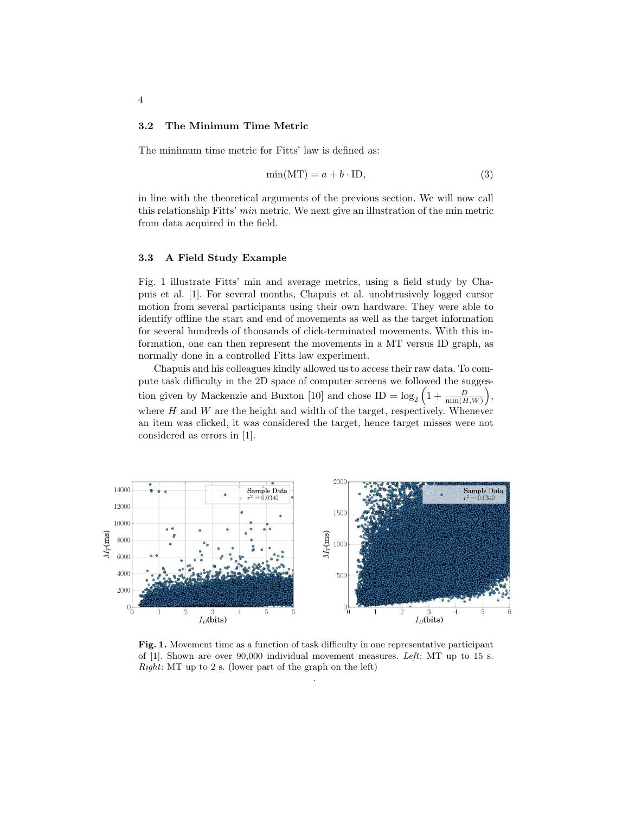#### 3.2 The Minimum Time Metric

The minimum time metric for Fitts' law is defined as:

$$
\min(MT) = a + b \cdot ID,
$$
\n(3)

in line with the theoretical arguments of the previous section. We will now call this relationship Fitts' min metric. We next give an illustration of the min metric from data acquired in the field.

#### 3.3 A Field Study Example

Fig. 1 illustrate Fitts' min and average metrics, using a field study by Chapuis et al. [1]. For several months, Chapuis et al. unobtrusively logged cursor motion from several participants using their own hardware. They were able to identify offline the start and end of movements as well as the target information for several hundreds of thousands of click-terminated movements. With this information, one can then represent the movements in a MT versus ID graph, as normally done in a controlled Fitts law experiment.

Chapuis and his colleagues kindly allowed us to access their raw data. To compute task difficulty in the 2D space of computer screens we followed the suggestion given by Mackenzie and Buxton [10] and chose  $ID = \log_2(1 + \frac{D}{\min(H,W)})$ , where  $H$  and  $W$  are the height and width of the target, respectively. Whenever an item was clicked, it was considered the target, hence target misses were not considered as errors in [1].



Fig. 1. Movement time as a function of task difficulty in one representative participant of [1]. Shown are over 90,000 individual movement measures. Left: MT up to 15 s.  $Right$ : MT up to 2 s. (lower part of the graph on the left)

.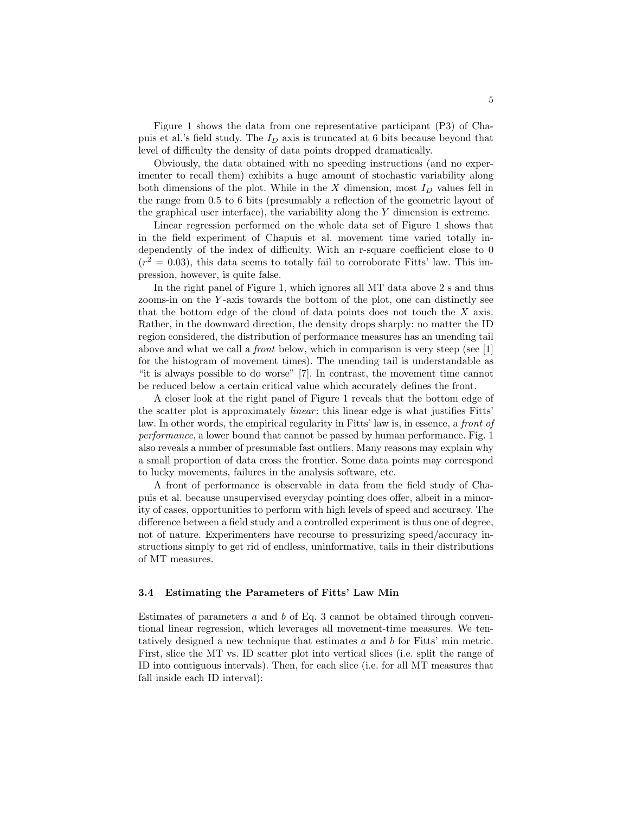Figure 1 shows the data from one representative participant (P3) of Chapuis et al.'s field study. The  $I_D$  axis is truncated at 6 bits because beyond that level of difficulty the density of data points dropped dramatically.

Obviously, the data obtained with no speeding instructions (and no experimenter to recall them) exhibits a huge amount of stochastic variability along both dimensions of the plot. While in the  $X$  dimension, most  $I_D$  values fell in the range from 0.5 to 6 bits (presumably a reflection of the geometric layout of the graphical user interface), the variability along the Y dimension is extreme.

Linear regression performed on the whole data set of Figure 1 shows that in the field experiment of Chapuis et al. movement time varied totally independently of the index of difficulty. With an r-square coefficient close to 0  $(r^2 = 0.03)$ , this data seems to totally fail to corroborate Fitts' law. This impression, however, is quite false.

In the right panel of Figure 1, which ignores all MT data above 2 s and thus zooms-in on the  $Y$ -axis towards the bottom of the plot, one can distinctly see that the bottom edge of the cloud of data points does not touch the X axis. Rather, in the downward direction, the density drops sharply: no matter the ID region considered, the distribution of performance measures has an unending tail above and what we call a front below, which in comparison is very steep (see [1] for the histogram of movement times). The unending tail is understandable as "it is always possible to do worse" [7]. In contrast, the movement time cannot be reduced below a certain critical value which accurately defines the front.

A closer look at the right panel of Figure 1 reveals that the bottom edge of the scatter plot is approximately *linear*: this linear edge is what justifies Fitts' law. In other words, the empirical regularity in Fitts' law is, in essence, a front of performance, a lower bound that cannot be passed by human performance. Fig. 1 also reveals a number of presumable fast outliers. Many reasons may explain why a small proportion of data cross the frontier. Some data points may correspond to lucky movements, failures in the analysis software, etc.

A front of performance is observable in data from the field study of Chapuis et al. because unsupervised everyday pointing does offer, albeit in a minority of cases, opportunities to perform with high levels of speed and accuracy. The difference between a field study and a controlled experiment is thus one of degree, not of nature. Experimenters have recourse to pressurizing speed/accuracy instructions simply to get rid of endless, uninformative, tails in their distributions of MT measures.

#### 3.4 Estimating the Parameters of Fitts' Law Min

Estimates of parameters  $a$  and  $b$  of Eq. 3 cannot be obtained through conventional linear regression, which leverages all movement-time measures. We tentatively designed a new technique that estimates  $a$  and  $b$  for Fitts' min metric. First, slice the MT vs. ID scatter plot into vertical slices (i.e. split the range of ID into contiguous intervals). Then, for each slice (i.e. for all MT measures that fall inside each ID interval):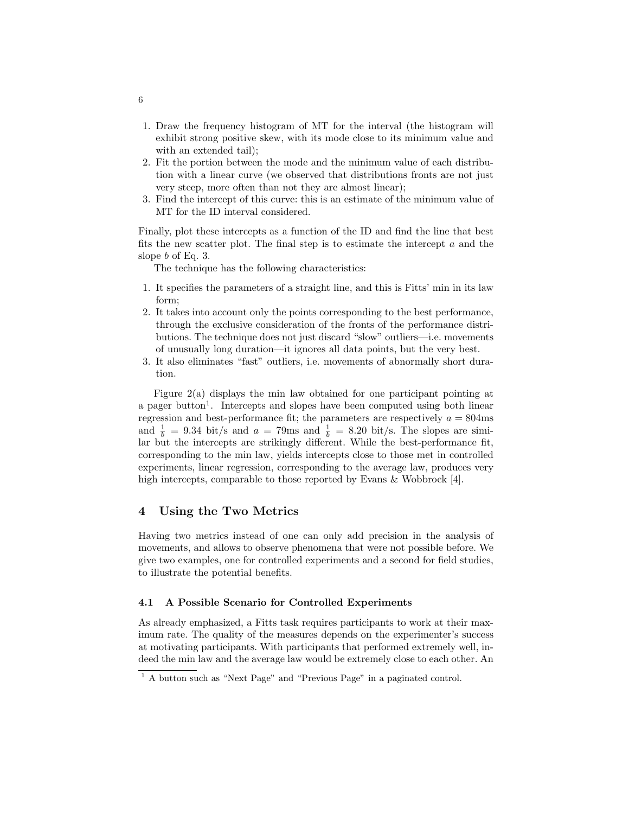- 1. Draw the frequency histogram of MT for the interval (the histogram will exhibit strong positive skew, with its mode close to its minimum value and with an extended tail);
- 2. Fit the portion between the mode and the minimum value of each distribution with a linear curve (we observed that distributions fronts are not just very steep, more often than not they are almost linear);
- 3. Find the intercept of this curve: this is an estimate of the minimum value of MT for the ID interval considered.

Finally, plot these intercepts as a function of the ID and find the line that best fits the new scatter plot. The final step is to estimate the intercept  $a$  and the slope b of Eq. 3.

The technique has the following characteristics:

- 1. It specifies the parameters of a straight line, and this is Fitts' min in its law form;
- 2. It takes into account only the points corresponding to the best performance, through the exclusive consideration of the fronts of the performance distributions. The technique does not just discard "slow" outliers—i.e. movements of unusually long duration—it ignores all data points, but the very best.
- 3. It also eliminates "fast" outliers, i.e. movements of abnormally short duration.

Figure 2(a) displays the min law obtained for one participant pointing at a pager button<sup>1</sup>. Intercepts and slopes have been computed using both linear regression and best-performance fit; the parameters are respectively  $a = 804$ ms and  $\frac{1}{b}$  = 9.34 bit/s and a = 79ms and  $\frac{1}{b}$  = 8.20 bit/s. The slopes are similar but the intercepts are strikingly different. While the best-performance fit, corresponding to the min law, yields intercepts close to those met in controlled experiments, linear regression, corresponding to the average law, produces very high intercepts, comparable to those reported by Evans & Wobbrock [4].

# 4 Using the Two Metrics

Having two metrics instead of one can only add precision in the analysis of movements, and allows to observe phenomena that were not possible before. We give two examples, one for controlled experiments and a second for field studies, to illustrate the potential benefits.

### 4.1 A Possible Scenario for Controlled Experiments

As already emphasized, a Fitts task requires participants to work at their maximum rate. The quality of the measures depends on the experimenter's success at motivating participants. With participants that performed extremely well, indeed the min law and the average law would be extremely close to each other. An

<sup>1</sup> A button such as "Next Page" and "Previous Page" in a paginated control.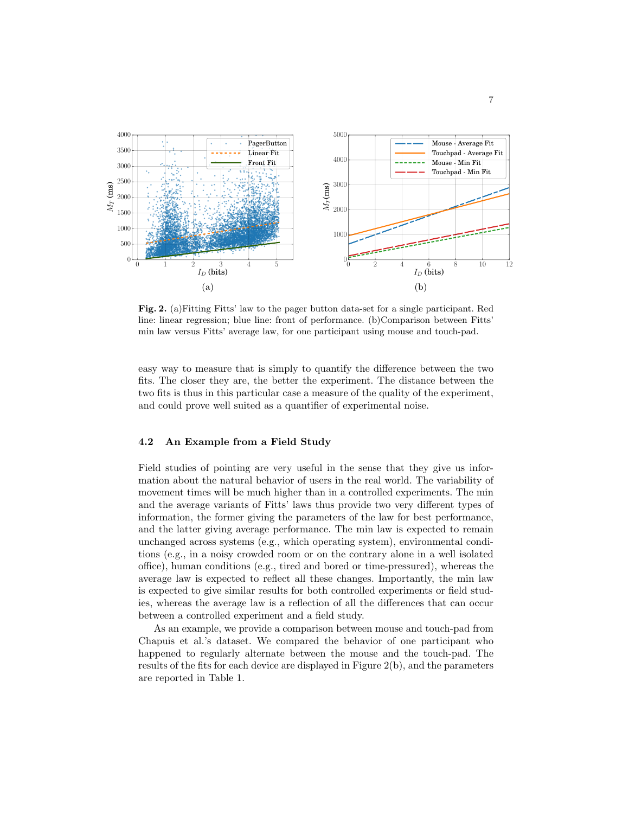

Fig. 2. (a)Fitting Fitts' law to the pager button data-set for a single participant. Red line: linear regression; blue line: front of performance. (b)Comparison between Fitts' min law versus Fitts' average law, for one participant using mouse and touch-pad.

easy way to measure that is simply to quantify the difference between the two fits. The closer they are, the better the experiment. The distance between the two fits is thus in this particular case a measure of the quality of the experiment, and could prove well suited as a quantifier of experimental noise.

#### 4.2 An Example from a Field Study

Field studies of pointing are very useful in the sense that they give us information about the natural behavior of users in the real world. The variability of movement times will be much higher than in a controlled experiments. The min and the average variants of Fitts' laws thus provide two very different types of information, the former giving the parameters of the law for best performance, and the latter giving average performance. The min law is expected to remain unchanged across systems (e.g., which operating system), environmental conditions (e.g., in a noisy crowded room or on the contrary alone in a well isolated office), human conditions (e.g., tired and bored or time-pressured), whereas the average law is expected to reflect all these changes. Importantly, the min law is expected to give similar results for both controlled experiments or field studies, whereas the average law is a reflection of all the differences that can occur between a controlled experiment and a field study.

As an example, we provide a comparison between mouse and touch-pad from Chapuis et al.'s dataset. We compared the behavior of one participant who happened to regularly alternate between the mouse and the touch-pad. The results of the fits for each device are displayed in Figure 2(b), and the parameters are reported in Table 1.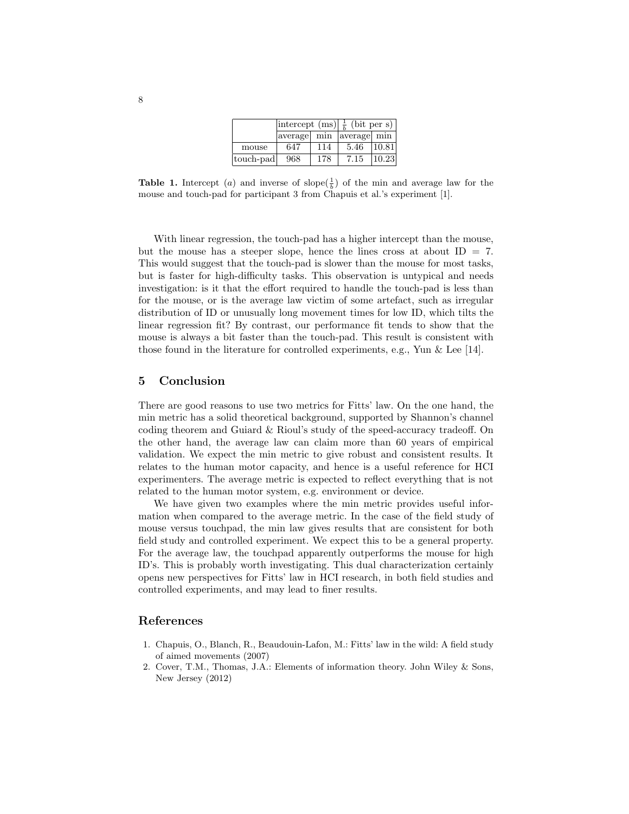|           | $\left  \text{intercept (ms)} \right  \frac{1}{b}$ (bit per s) |     |             |       |
|-----------|----------------------------------------------------------------|-----|-------------|-------|
|           | average                                                        | min | average min |       |
| mouse     | 647                                                            | 114 | 5.46        | 10.81 |
| touch-pad | 968                                                            | 178 | 7.15        | 10.23 |

**Table 1.** Intercept (a) and inverse of  $slope(\frac{1}{b})$  of the min and average law for the mouse and touch-pad for participant 3 from Chapuis et al.'s experiment [1].

With linear regression, the touch-pad has a higher intercept than the mouse, but the mouse has a steeper slope, hence the lines cross at about  $ID = 7$ . This would suggest that the touch-pad is slower than the mouse for most tasks, but is faster for high-difficulty tasks. This observation is untypical and needs investigation: is it that the effort required to handle the touch-pad is less than for the mouse, or is the average law victim of some artefact, such as irregular distribution of ID or unusually long movement times for low ID, which tilts the linear regression fit? By contrast, our performance fit tends to show that the mouse is always a bit faster than the touch-pad. This result is consistent with those found in the literature for controlled experiments, e.g., Yun & Lee [14].

# 5 Conclusion

There are good reasons to use two metrics for Fitts' law. On the one hand, the min metric has a solid theoretical background, supported by Shannon's channel coding theorem and Guiard & Rioul's study of the speed-accuracy tradeoff. On the other hand, the average law can claim more than 60 years of empirical validation. We expect the min metric to give robust and consistent results. It relates to the human motor capacity, and hence is a useful reference for HCI experimenters. The average metric is expected to reflect everything that is not related to the human motor system, e.g. environment or device.

We have given two examples where the min metric provides useful information when compared to the average metric. In the case of the field study of mouse versus touchpad, the min law gives results that are consistent for both field study and controlled experiment. We expect this to be a general property. For the average law, the touchpad apparently outperforms the mouse for high ID's. This is probably worth investigating. This dual characterization certainly opens new perspectives for Fitts' law in HCI research, in both field studies and controlled experiments, and may lead to finer results.

#### References

- 1. Chapuis, O., Blanch, R., Beaudouin-Lafon, M.: Fitts' law in the wild: A field study of aimed movements (2007)
- 2. Cover, T.M., Thomas, J.A.: Elements of information theory. John Wiley & Sons, New Jersey (2012)